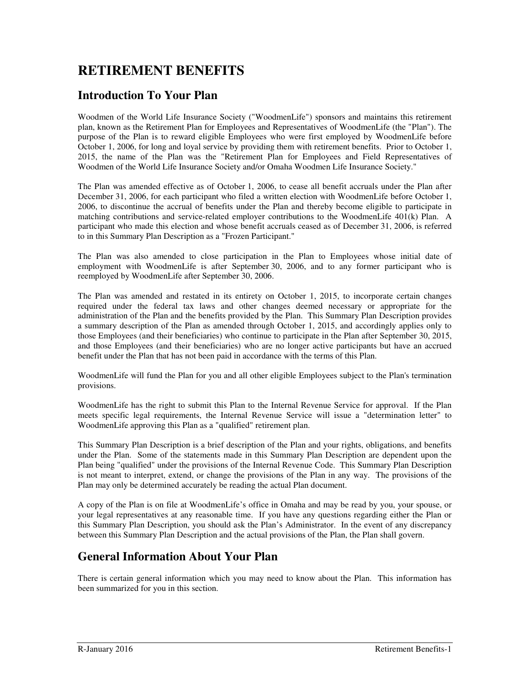# **RETIREMENT BENEFITS**

# **Introduction To Your Plan**

Woodmen of the World Life Insurance Society ("WoodmenLife") sponsors and maintains this retirement plan, known as the Retirement Plan for Employees and Representatives of WoodmenLife (the "Plan"). The purpose of the Plan is to reward eligible Employees who were first employed by WoodmenLife before October 1, 2006, for long and loyal service by providing them with retirement benefits. Prior to October 1, 2015, the name of the Plan was the "Retirement Plan for Employees and Field Representatives of Woodmen of the World Life Insurance Society and/or Omaha Woodmen Life Insurance Society."

The Plan was amended effective as of October 1, 2006, to cease all benefit accruals under the Plan after December 31, 2006, for each participant who filed a written election with WoodmenLife before October 1, 2006, to discontinue the accrual of benefits under the Plan and thereby become eligible to participate in matching contributions and service-related employer contributions to the WoodmenLife 401(k) Plan. A participant who made this election and whose benefit accruals ceased as of December 31, 2006, is referred to in this Summary Plan Description as a "Frozen Participant."

The Plan was also amended to close participation in the Plan to Employees whose initial date of employment with WoodmenLife is after September 30, 2006, and to any former participant who is reemployed by WoodmenLife after September 30, 2006.

The Plan was amended and restated in its entirety on October 1, 2015, to incorporate certain changes required under the federal tax laws and other changes deemed necessary or appropriate for the administration of the Plan and the benefits provided by the Plan. This Summary Plan Description provides a summary description of the Plan as amended through October 1, 2015, and accordingly applies only to those Employees (and their beneficiaries) who continue to participate in the Plan after September 30, 2015, and those Employees (and their beneficiaries) who are no longer active participants but have an accrued benefit under the Plan that has not been paid in accordance with the terms of this Plan.

WoodmenLife will fund the Plan for you and all other eligible Employees subject to the Plan's termination provisions.

WoodmenLife has the right to submit this Plan to the Internal Revenue Service for approval. If the Plan meets specific legal requirements, the Internal Revenue Service will issue a "determination letter" to WoodmenLife approving this Plan as a "qualified" retirement plan.

This Summary Plan Description is a brief description of the Plan and your rights, obligations, and benefits under the Plan. Some of the statements made in this Summary Plan Description are dependent upon the Plan being "qualified" under the provisions of the Internal Revenue Code. This Summary Plan Description is not meant to interpret, extend, or change the provisions of the Plan in any way. The provisions of the Plan may only be determined accurately be reading the actual Plan document.

A copy of the Plan is on file at WoodmenLife's office in Omaha and may be read by you, your spouse, or your legal representatives at any reasonable time. If you have any questions regarding either the Plan or this Summary Plan Description, you should ask the Plan's Administrator. In the event of any discrepancy between this Summary Plan Description and the actual provisions of the Plan, the Plan shall govern.

# **General Information About Your Plan**

There is certain general information which you may need to know about the Plan. This information has been summarized for you in this section.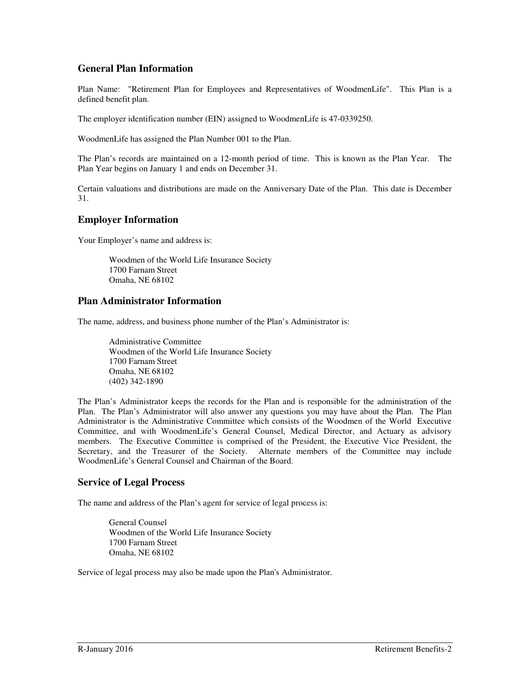## **General Plan Information**

Plan Name: "Retirement Plan for Employees and Representatives of WoodmenLife". This Plan is a defined benefit plan.

The employer identification number (EIN) assigned to WoodmenLife is 47-0339250.

WoodmenLife has assigned the Plan Number 001 to the Plan.

The Plan's records are maintained on a 12-month period of time. This is known as the Plan Year. The Plan Year begins on January 1 and ends on December 31.

Certain valuations and distributions are made on the Anniversary Date of the Plan. This date is December 31.

## **Employer Information**

Your Employer's name and address is:

Woodmen of the World Life Insurance Society 1700 Farnam Street Omaha, NE 68102

#### **Plan Administrator Information**

The name, address, and business phone number of the Plan's Administrator is:

Administrative Committee Woodmen of the World Life Insurance Society 1700 Farnam Street Omaha, NE 68102 (402) 342-1890

The Plan's Administrator keeps the records for the Plan and is responsible for the administration of the Plan. The Plan's Administrator will also answer any questions you may have about the Plan. The Plan Administrator is the Administrative Committee which consists of the Woodmen of the World Executive Committee, and with WoodmenLife's General Counsel, Medical Director, and Actuary as advisory members. The Executive Committee is comprised of the President, the Executive Vice President, the Secretary, and the Treasurer of the Society. Alternate members of the Committee may include WoodmenLife's General Counsel and Chairman of the Board.

#### **Service of Legal Process**

The name and address of the Plan's agent for service of legal process is:

General Counsel Woodmen of the World Life Insurance Society 1700 Farnam Street Omaha, NE 68102

Service of legal process may also be made upon the Plan's Administrator.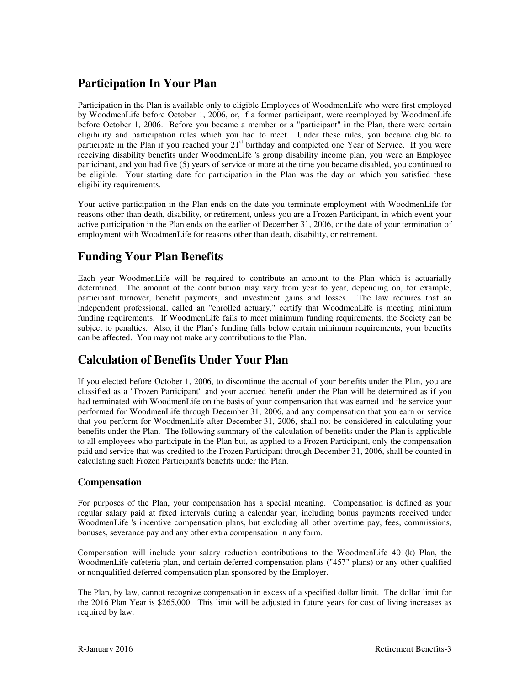# **Participation In Your Plan**

Participation in the Plan is available only to eligible Employees of WoodmenLife who were first employed by WoodmenLife before October 1, 2006, or, if a former participant, were reemployed by WoodmenLife before October 1, 2006. Before you became a member or a "participant" in the Plan, there were certain eligibility and participation rules which you had to meet. Under these rules, you became eligible to participate in the Plan if you reached your 21<sup>st</sup> birthday and completed one Year of Service. If you were receiving disability benefits under WoodmenLife 's group disability income plan, you were an Employee participant, and you had five (5) years of service or more at the time you became disabled, you continued to be eligible. Your starting date for participation in the Plan was the day on which you satisfied these eligibility requirements.

Your active participation in the Plan ends on the date you terminate employment with WoodmenLife for reasons other than death, disability, or retirement, unless you are a Frozen Participant, in which event your active participation in the Plan ends on the earlier of December 31, 2006, or the date of your termination of employment with WoodmenLife for reasons other than death, disability, or retirement.

# **Funding Your Plan Benefits**

Each year WoodmenLife will be required to contribute an amount to the Plan which is actuarially determined. The amount of the contribution may vary from year to year, depending on, for example, participant turnover, benefit payments, and investment gains and losses. The law requires that an independent professional, called an "enrolled actuary," certify that WoodmenLife is meeting minimum funding requirements. If WoodmenLife fails to meet minimum funding requirements, the Society can be subject to penalties. Also, if the Plan's funding falls below certain minimum requirements, your benefits can be affected. You may not make any contributions to the Plan.

# **Calculation of Benefits Under Your Plan**

If you elected before October 1, 2006, to discontinue the accrual of your benefits under the Plan, you are classified as a "Frozen Participant" and your accrued benefit under the Plan will be determined as if you had terminated with WoodmenLife on the basis of your compensation that was earned and the service your performed for WoodmenLife through December 31, 2006, and any compensation that you earn or service that you perform for WoodmenLife after December 31, 2006, shall not be considered in calculating your benefits under the Plan. The following summary of the calculation of benefits under the Plan is applicable to all employees who participate in the Plan but, as applied to a Frozen Participant, only the compensation paid and service that was credited to the Frozen Participant through December 31, 2006, shall be counted in calculating such Frozen Participant's benefits under the Plan.

# **Compensation**

For purposes of the Plan, your compensation has a special meaning. Compensation is defined as your regular salary paid at fixed intervals during a calendar year, including bonus payments received under WoodmenLife 's incentive compensation plans, but excluding all other overtime pay, fees, commissions, bonuses, severance pay and any other extra compensation in any form.

Compensation will include your salary reduction contributions to the WoodmenLife 401(k) Plan, the WoodmenLife cafeteria plan, and certain deferred compensation plans ("457" plans) or any other qualified or nonqualified deferred compensation plan sponsored by the Employer.

The Plan, by law, cannot recognize compensation in excess of a specified dollar limit. The dollar limit for the 2016 Plan Year is \$265,000. This limit will be adjusted in future years for cost of living increases as required by law.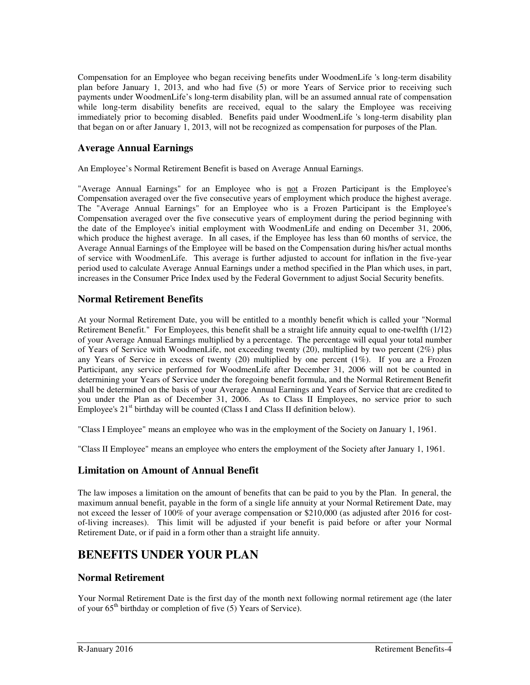Compensation for an Employee who began receiving benefits under WoodmenLife 's long-term disability plan before January 1, 2013, and who had five (5) or more Years of Service prior to receiving such payments under WoodmenLife's long-term disability plan, will be an assumed annual rate of compensation while long-term disability benefits are received, equal to the salary the Employee was receiving immediately prior to becoming disabled. Benefits paid under WoodmenLife 's long-term disability plan that began on or after January 1, 2013, will not be recognized as compensation for purposes of the Plan.

## **Average Annual Earnings**

An Employee's Normal Retirement Benefit is based on Average Annual Earnings.

"Average Annual Earnings" for an Employee who is not a Frozen Participant is the Employee's Compensation averaged over the five consecutive years of employment which produce the highest average. The "Average Annual Earnings" for an Employee who is a Frozen Participant is the Employee's Compensation averaged over the five consecutive years of employment during the period beginning with the date of the Employee's initial employment with WoodmenLife and ending on December 31, 2006, which produce the highest average. In all cases, if the Employee has less than 60 months of service, the Average Annual Earnings of the Employee will be based on the Compensation during his/her actual months of service with WoodmenLife. This average is further adjusted to account for inflation in the five-year period used to calculate Average Annual Earnings under a method specified in the Plan which uses, in part, increases in the Consumer Price Index used by the Federal Government to adjust Social Security benefits.

## **Normal Retirement Benefits**

At your Normal Retirement Date, you will be entitled to a monthly benefit which is called your "Normal Retirement Benefit." For Employees, this benefit shall be a straight life annuity equal to one-twelfth (1/12) of your Average Annual Earnings multiplied by a percentage. The percentage will equal your total number of Years of Service with WoodmenLife, not exceeding twenty (20), multiplied by two percent (2%) plus any Years of Service in excess of twenty  $(20)$  multiplied by one percent  $(1\%)$ . If you are a Frozen Participant, any service performed for WoodmenLife after December 31, 2006 will not be counted in determining your Years of Service under the foregoing benefit formula, and the Normal Retirement Benefit shall be determined on the basis of your Average Annual Earnings and Years of Service that are credited to you under the Plan as of December 31, 2006. As to Class II Employees, no service prior to such Employee's 21 st birthday will be counted (Class I and Class II definition below).

"Class I Employee" means an employee who was in the employment of the Society on January 1, 1961.

"Class II Employee" means an employee who enters the employment of the Society after January 1, 1961.

#### **Limitation on Amount of Annual Benefit**

The law imposes a limitation on the amount of benefits that can be paid to you by the Plan. In general, the maximum annual benefit, payable in the form of a single life annuity at your Normal Retirement Date, may not exceed the lesser of 100% of your average compensation or \$210,000 (as adjusted after 2016 for costof-living increases). This limit will be adjusted if your benefit is paid before or after your Normal Retirement Date, or if paid in a form other than a straight life annuity.

# **BENEFITS UNDER YOUR PLAN**

#### **Normal Retirement**

Your Normal Retirement Date is the first day of the month next following normal retirement age (the later of your 65<sup>th</sup> birthday or completion of five (5) Years of Service).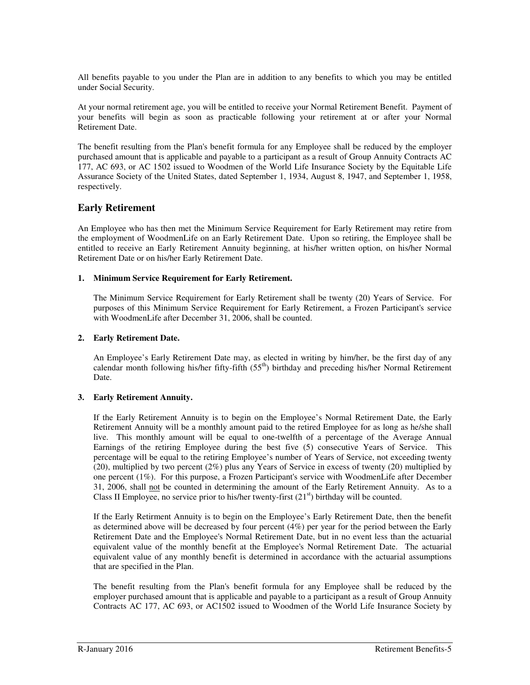All benefits payable to you under the Plan are in addition to any benefits to which you may be entitled under Social Security.

At your normal retirement age, you will be entitled to receive your Normal Retirement Benefit. Payment of your benefits will begin as soon as practicable following your retirement at or after your Normal Retirement Date.

The benefit resulting from the Plan's benefit formula for any Employee shall be reduced by the employer purchased amount that is applicable and payable to a participant as a result of Group Annuity Contracts AC 177, AC 693, or AC 1502 issued to Woodmen of the World Life Insurance Society by the Equitable Life Assurance Society of the United States, dated September 1, 1934, August 8, 1947, and September 1, 1958, respectively.

## **Early Retirement**

An Employee who has then met the Minimum Service Requirement for Early Retirement may retire from the employment of WoodmenLife on an Early Retirement Date. Upon so retiring, the Employee shall be entitled to receive an Early Retirement Annuity beginning, at his/her written option, on his/her Normal Retirement Date or on his/her Early Retirement Date.

#### **1. Minimum Service Requirement for Early Retirement.**

The Minimum Service Requirement for Early Retirement shall be twenty (20) Years of Service. For purposes of this Minimum Service Requirement for Early Retirement, a Frozen Participant's service with WoodmenLife after December 31, 2006, shall be counted.

#### **2. Early Retirement Date.**

An Employee's Early Retirement Date may, as elected in writing by him/her, be the first day of any calendar month following his/her fifty-fifth (55<sup>th</sup>) birthday and preceding his/her Normal Retirement Date.

#### **3. Early Retirement Annuity.**

If the Early Retirement Annuity is to begin on the Employee's Normal Retirement Date, the Early Retirement Annuity will be a monthly amount paid to the retired Employee for as long as he/she shall live. This monthly amount will be equal to one-twelfth of a percentage of the Average Annual Earnings of the retiring Employee during the best five (5) consecutive Years of Service. This percentage will be equal to the retiring Employee's number of Years of Service, not exceeding twenty (20), multiplied by two percent (2%) plus any Years of Service in excess of twenty (20) multiplied by one percent (1%). For this purpose, a Frozen Participant's service with WoodmenLife after December 31, 2006, shall not be counted in determining the amount of the Early Retirement Annuity. As to a Class II Employee, no service prior to his/her twenty-first  $(21<sup>st</sup>)$  birthday will be counted.

If the Early Retirment Annuity is to begin on the Employee's Early Retirement Date, then the benefit as determined above will be decreased by four percent (4%) per year for the period between the Early Retirement Date and the Employee's Normal Retirement Date, but in no event less than the actuarial equivalent value of the monthly benefit at the Employee's Normal Retirement Date. The actuarial equivalent value of any monthly benefit is determined in accordance with the actuarial assumptions that are specified in the Plan.

The benefit resulting from the Plan's benefit formula for any Employee shall be reduced by the employer purchased amount that is applicable and payable to a participant as a result of Group Annuity Contracts AC 177, AC 693, or AC1502 issued to Woodmen of the World Life Insurance Society by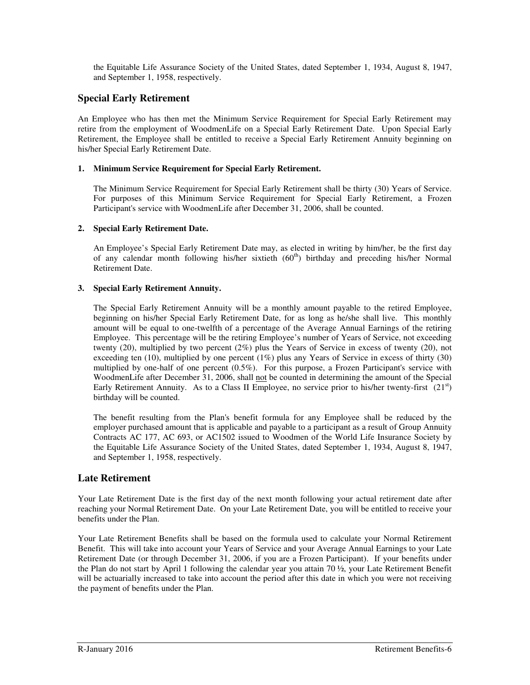the Equitable Life Assurance Society of the United States, dated September 1, 1934, August 8, 1947, and September 1, 1958, respectively.

## **Special Early Retirement**

An Employee who has then met the Minimum Service Requirement for Special Early Retirement may retire from the employment of WoodmenLife on a Special Early Retirement Date. Upon Special Early Retirement, the Employee shall be entitled to receive a Special Early Retirement Annuity beginning on his/her Special Early Retirement Date.

#### **1. Minimum Service Requirement for Special Early Retirement.**

The Minimum Service Requirement for Special Early Retirement shall be thirty (30) Years of Service. For purposes of this Minimum Service Requirement for Special Early Retirement, a Frozen Participant's service with WoodmenLife after December 31, 2006, shall be counted.

#### **2. Special Early Retirement Date.**

An Employee's Special Early Retirement Date may, as elected in writing by him/her, be the first day of any calendar month following his/her sixtieth (60<sup>th</sup>) birthday and preceding his/her Normal Retirement Date.

#### **3. Special Early Retirement Annuity.**

The Special Early Retirement Annuity will be a monthly amount payable to the retired Employee, beginning on his/her Special Early Retirement Date, for as long as he/she shall live. This monthly amount will be equal to one-twelfth of a percentage of the Average Annual Earnings of the retiring Employee. This percentage will be the retiring Employee's number of Years of Service, not exceeding twenty (20), multiplied by two percent (2%) plus the Years of Service in excess of twenty (20), not exceeding ten (10), multiplied by one percent (1%) plus any Years of Service in excess of thirty (30) multiplied by one-half of one percent (0.5%). For this purpose, a Frozen Participant's service with WoodmenLife after December 31, 2006, shall not be counted in determining the amount of the Special Early Retirement Annuity. As to a Class II Employee, no service prior to his/her twenty-first  $(21<sup>st</sup>)$ birthday will be counted.

The benefit resulting from the Plan's benefit formula for any Employee shall be reduced by the employer purchased amount that is applicable and payable to a participant as a result of Group Annuity Contracts AC 177, AC 693, or AC1502 issued to Woodmen of the World Life Insurance Society by the Equitable Life Assurance Society of the United States, dated September 1, 1934, August 8, 1947, and September 1, 1958, respectively.

#### **Late Retirement**

Your Late Retirement Date is the first day of the next month following your actual retirement date after reaching your Normal Retirement Date. On your Late Retirement Date, you will be entitled to receive your benefits under the Plan.

Your Late Retirement Benefits shall be based on the formula used to calculate your Normal Retirement Benefit. This will take into account your Years of Service and your Average Annual Earnings to your Late Retirement Date (or through December 31, 2006, if you are a Frozen Participant). If your benefits under the Plan do not start by April 1 following the calendar year you attain 70 ½, your Late Retirement Benefit will be actuarially increased to take into account the period after this date in which you were not receiving the payment of benefits under the Plan.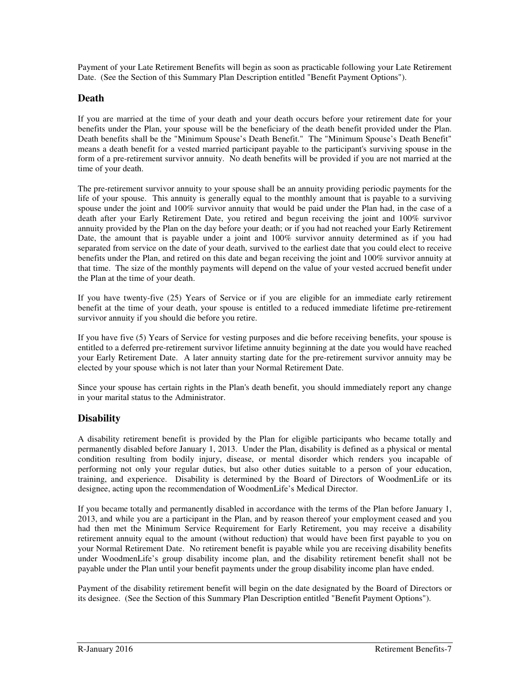Payment of your Late Retirement Benefits will begin as soon as practicable following your Late Retirement Date. (See the Section of this Summary Plan Description entitled "Benefit Payment Options").

## **Death**

If you are married at the time of your death and your death occurs before your retirement date for your benefits under the Plan, your spouse will be the beneficiary of the death benefit provided under the Plan. Death benefits shall be the "Minimum Spouse's Death Benefit." The "Minimum Spouse's Death Benefit" means a death benefit for a vested married participant payable to the participant's surviving spouse in the form of a pre-retirement survivor annuity. No death benefits will be provided if you are not married at the time of your death.

The pre-retirement survivor annuity to your spouse shall be an annuity providing periodic payments for the life of your spouse. This annuity is generally equal to the monthly amount that is payable to a surviving spouse under the joint and 100% survivor annuity that would be paid under the Plan had, in the case of a death after your Early Retirement Date, you retired and begun receiving the joint and 100% survivor annuity provided by the Plan on the day before your death; or if you had not reached your Early Retirement Date, the amount that is payable under a joint and 100% survivor annuity determined as if you had separated from service on the date of your death, survived to the earliest date that you could elect to receive benefits under the Plan, and retired on this date and began receiving the joint and 100% survivor annuity at that time. The size of the monthly payments will depend on the value of your vested accrued benefit under the Plan at the time of your death.

If you have twenty-five (25) Years of Service or if you are eligible for an immediate early retirement benefit at the time of your death, your spouse is entitled to a reduced immediate lifetime pre-retirement survivor annuity if you should die before you retire.

If you have five (5) Years of Service for vesting purposes and die before receiving benefits, your spouse is entitled to a deferred pre-retirement survivor lifetime annuity beginning at the date you would have reached your Early Retirement Date. A later annuity starting date for the pre-retirement survivor annuity may be elected by your spouse which is not later than your Normal Retirement Date.

Since your spouse has certain rights in the Plan's death benefit, you should immediately report any change in your marital status to the Administrator.

# **Disability**

A disability retirement benefit is provided by the Plan for eligible participants who became totally and permanently disabled before January 1, 2013. Under the Plan, disability is defined as a physical or mental condition resulting from bodily injury, disease, or mental disorder which renders you incapable of performing not only your regular duties, but also other duties suitable to a person of your education, training, and experience. Disability is determined by the Board of Directors of WoodmenLife or its designee, acting upon the recommendation of WoodmenLife's Medical Director.

If you became totally and permanently disabled in accordance with the terms of the Plan before January 1, 2013, and while you are a participant in the Plan, and by reason thereof your employment ceased and you had then met the Minimum Service Requirement for Early Retirement, you may receive a disability retirement annuity equal to the amount (without reduction) that would have been first payable to you on your Normal Retirement Date. No retirement benefit is payable while you are receiving disability benefits under WoodmenLife's group disability income plan, and the disability retirement benefit shall not be payable under the Plan until your benefit payments under the group disability income plan have ended.

Payment of the disability retirement benefit will begin on the date designated by the Board of Directors or its designee. (See the Section of this Summary Plan Description entitled "Benefit Payment Options").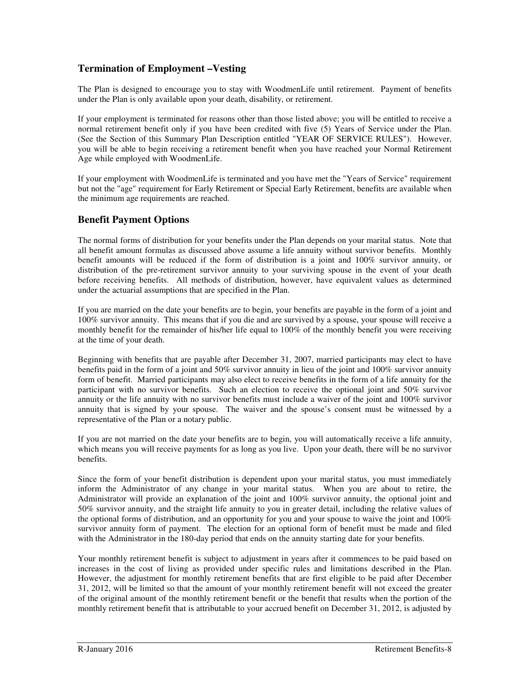## **Termination of Employment –Vesting**

The Plan is designed to encourage you to stay with WoodmenLife until retirement. Payment of benefits under the Plan is only available upon your death, disability, or retirement.

If your employment is terminated for reasons other than those listed above; you will be entitled to receive a normal retirement benefit only if you have been credited with five (5) Years of Service under the Plan. (See the Section of this Summary Plan Description entitled "YEAR OF SERVICE RULES"). However, you will be able to begin receiving a retirement benefit when you have reached your Normal Retirement Age while employed with WoodmenLife.

If your employment with WoodmenLife is terminated and you have met the "Years of Service" requirement but not the "age" requirement for Early Retirement or Special Early Retirement, benefits are available when the minimum age requirements are reached.

## **Benefit Payment Options**

The normal forms of distribution for your benefits under the Plan depends on your marital status. Note that all benefit amount formulas as discussed above assume a life annuity without survivor benefits. Monthly benefit amounts will be reduced if the form of distribution is a joint and 100% survivor annuity, or distribution of the pre-retirement survivor annuity to your surviving spouse in the event of your death before receiving benefits. All methods of distribution, however, have equivalent values as determined under the actuarial assumptions that are specified in the Plan.

If you are married on the date your benefits are to begin, your benefits are payable in the form of a joint and 100% survivor annuity. This means that if you die and are survived by a spouse, your spouse will receive a monthly benefit for the remainder of his/her life equal to 100% of the monthly benefit you were receiving at the time of your death.

Beginning with benefits that are payable after December 31, 2007, married participants may elect to have benefits paid in the form of a joint and 50% survivor annuity in lieu of the joint and 100% survivor annuity form of benefit. Married participants may also elect to receive benefits in the form of a life annuity for the participant with no survivor benefits. Such an election to receive the optional joint and 50% survivor annuity or the life annuity with no survivor benefits must include a waiver of the joint and 100% survivor annuity that is signed by your spouse. The waiver and the spouse's consent must be witnessed by a representative of the Plan or a notary public.

If you are not married on the date your benefits are to begin, you will automatically receive a life annuity, which means you will receive payments for as long as you live. Upon your death, there will be no survivor benefits.

Since the form of your benefit distribution is dependent upon your marital status, you must immediately inform the Administrator of any change in your marital status. When you are about to retire, the Administrator will provide an explanation of the joint and 100% survivor annuity, the optional joint and 50% survivor annuity, and the straight life annuity to you in greater detail, including the relative values of the optional forms of distribution, and an opportunity for you and your spouse to waive the joint and  $100\%$ survivor annuity form of payment. The election for an optional form of benefit must be made and filed with the Administrator in the 180-day period that ends on the annuity starting date for your benefits.

Your monthly retirement benefit is subject to adjustment in years after it commences to be paid based on increases in the cost of living as provided under specific rules and limitations described in the Plan. However, the adjustment for monthly retirement benefits that are first eligible to be paid after December 31, 2012, will be limited so that the amount of your monthly retirement benefit will not exceed the greater of the original amount of the monthly retirement benefit or the benefit that results when the portion of the monthly retirement benefit that is attributable to your accrued benefit on December 31, 2012, is adjusted by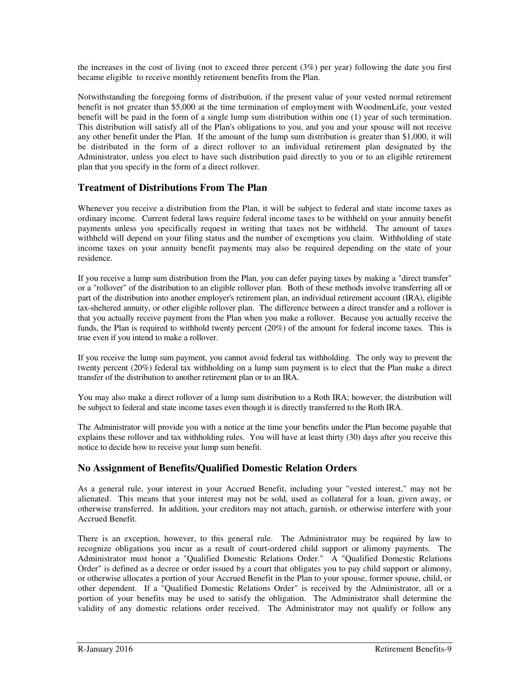the increases in the cost of living (not to exceed three percent  $(3%)$  per year) following the date you first became eligible to receive monthly retirement benefits from the Plan.

Notwithstanding the foregoing forms of distribution, if the present value of your vested normal retirement benefit is not greater than \$5,000 at the time termination of employment with WoodmenLife, your vested benefit will be paid in the form of a single lump sum distribution within one (1) year of such termination. This distribution will satisfy all of the Plan's obligations to you, and you and your spouse will not receive any other benefit under the Plan. If the amount of the lump sum distribution is greater than \$1,000, it will be distributed in the form of a direct rollover to an individual retirement plan designated by the Administrator, unless you elect to have such distribution paid directly to you or to an eligible retirement plan that you specify in the form of a direct rollover.

## **Treatment of Distributions From The Plan**

Whenever you receive a distribution from the Plan, it will be subject to federal and state income taxes as ordinary income. Current federal laws require federal income taxes to be withheld on your annuity benefit payments unless you specifically request in writing that taxes not be withheld. The amount of taxes withheld will depend on your filing status and the number of exemptions you claim. Withholding of state income taxes on your annuity benefit payments may also be required depending on the state of your residence.

If you receive a lump sum distribution from the Plan, you can defer paying taxes by making a "direct transfer" or a "rollover" of the distribution to an eligible rollover plan. Both of these methods involve transferring all or part of the distribution into another employer's retirement plan, an individual retirement account (IRA), eligible tax-sheltered annuity, or other eligible rollover plan. The difference between a direct transfer and a rollover is that you actually receive payment from the Plan when you make a rollover. Because you actually receive the funds, the Plan is required to withhold twenty percent (20%) of the amount for federal income taxes. This is true even if you intend to make a rollover.

If you receive the lump sum payment, you cannot avoid federal tax withholding. The only way to prevent the twenty percent (20%) federal tax withholding on a lump sum payment is to elect that the Plan make a direct transfer of the distribution to another retirement plan or to an IRA.

You may also make a direct rollover of a lump sum distribution to a Roth IRA; however, the distribution will be subject to federal and state income taxes even though it is directly transferred to the Roth IRA.

The Administrator will provide you with a notice at the time your benefits under the Plan become payable that explains these rollover and tax withholding rules. You will have at least thirty (30) days after you receive this notice to decide how to receive your lump sum benefit.

## **No Assignment of Benefits/Qualified Domestic Relation Orders**

As a general rule, your interest in your Accrued Benefit, including your "vested interest," may not be alienated. This means that your interest may not be sold, used as collateral for a loan, given away, or otherwise transferred. In addition, your creditors may not attach, garnish, or otherwise interfere with your Accrued Benefit.

There is an exception, however, to this general rule. The Administrator may be required by law to recognize obligations you incur as a result of court-ordered child support or alimony payments. The Administrator must honor a "Qualified Domestic Relations Order." A "Qualified Domestic Relations Order" is defined as a decree or order issued by a court that obligates you to pay child support or alimony, or otherwise allocates a portion of your Accrued Benefit in the Plan to your spouse, former spouse, child, or other dependent. If a "Qualified Domestic Relations Order" is received by the Administrator, all or a portion of your benefits may be used to satisfy the obligation. The Administrator shall determine the validity of any domestic relations order received. The Administrator may not qualify or follow any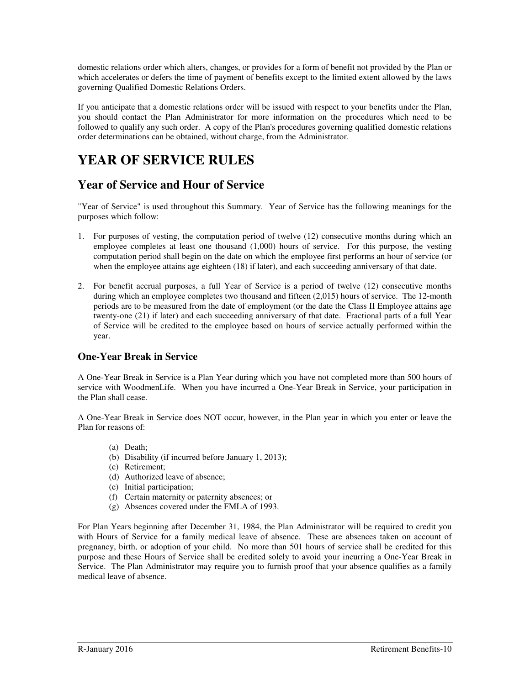domestic relations order which alters, changes, or provides for a form of benefit not provided by the Plan or which accelerates or defers the time of payment of benefits except to the limited extent allowed by the laws governing Qualified Domestic Relations Orders.

If you anticipate that a domestic relations order will be issued with respect to your benefits under the Plan, you should contact the Plan Administrator for more information on the procedures which need to be followed to qualify any such order. A copy of the Plan's procedures governing qualified domestic relations order determinations can be obtained, without charge, from the Administrator.

# **YEAR OF SERVICE RULES**

# **Year of Service and Hour of Service**

"Year of Service" is used throughout this Summary. Year of Service has the following meanings for the purposes which follow:

- 1. For purposes of vesting, the computation period of twelve (12) consecutive months during which an employee completes at least one thousand (1,000) hours of service. For this purpose, the vesting computation period shall begin on the date on which the employee first performs an hour of service (or when the employee attains age eighteen (18) if later), and each succeeding anniversary of that date.
- 2. For benefit accrual purposes, a full Year of Service is a period of twelve (12) consecutive months during which an employee completes two thousand and fifteen (2,015) hours of service. The 12-month periods are to be measured from the date of employment (or the date the Class II Employee attains age twenty-one (21) if later) and each succeeding anniversary of that date. Fractional parts of a full Year of Service will be credited to the employee based on hours of service actually performed within the year.

# **One-Year Break in Service**

A One-Year Break in Service is a Plan Year during which you have not completed more than 500 hours of service with WoodmenLife. When you have incurred a One-Year Break in Service, your participation in the Plan shall cease.

A One-Year Break in Service does NOT occur, however, in the Plan year in which you enter or leave the Plan for reasons of:

- (a) Death;
- (b) Disability (if incurred before January 1, 2013);
- (c) Retirement;
- (d) Authorized leave of absence;
- (e) Initial participation;
- (f) Certain maternity or paternity absences; or
- (g) Absences covered under the FMLA of 1993.

For Plan Years beginning after December 31, 1984, the Plan Administrator will be required to credit you with Hours of Service for a family medical leave of absence. These are absences taken on account of pregnancy, birth, or adoption of your child. No more than 501 hours of service shall be credited for this purpose and these Hours of Service shall be credited solely to avoid your incurring a One-Year Break in Service. The Plan Administrator may require you to furnish proof that your absence qualifies as a family medical leave of absence.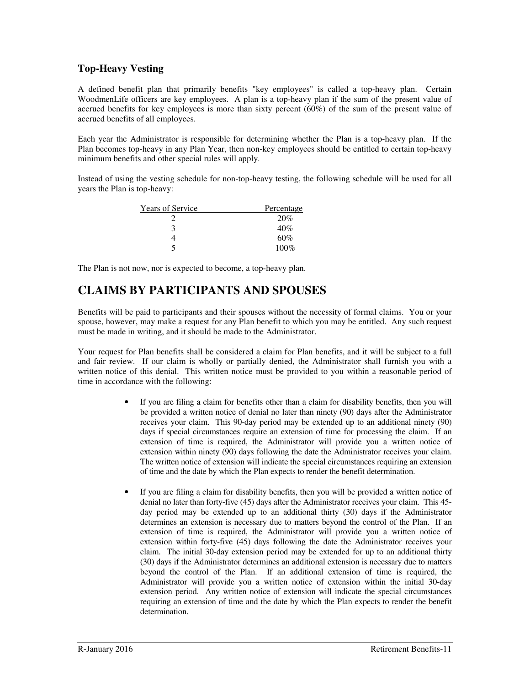# **Top-Heavy Vesting**

A defined benefit plan that primarily benefits "key employees" is called a top-heavy plan. Certain WoodmenLife officers are key employees. A plan is a top-heavy plan if the sum of the present value of accrued benefits for key employees is more than sixty percent (60%) of the sum of the present value of accrued benefits of all employees.

Each year the Administrator is responsible for determining whether the Plan is a top-heavy plan. If the Plan becomes top-heavy in any Plan Year, then non-key employees should be entitled to certain top-heavy minimum benefits and other special rules will apply.

Instead of using the vesting schedule for non-top-heavy testing, the following schedule will be used for all years the Plan is top-heavy:

| <b>Years of Service</b> | Percentage |
|-------------------------|------------|
|                         | 20%        |
| 3                       | 40%        |
|                         | 60%        |
|                         | $100\%$    |

The Plan is not now, nor is expected to become, a top-heavy plan.

# **CLAIMS BY PARTICIPANTS AND SPOUSES**

Benefits will be paid to participants and their spouses without the necessity of formal claims. You or your spouse, however, may make a request for any Plan benefit to which you may be entitled. Any such request must be made in writing, and it should be made to the Administrator.

Your request for Plan benefits shall be considered a claim for Plan benefits, and it will be subject to a full and fair review. If our claim is wholly or partially denied, the Administrator shall furnish you with a written notice of this denial. This written notice must be provided to you within a reasonable period of time in accordance with the following:

- If you are filing a claim for benefits other than a claim for disability benefits, then you will be provided a written notice of denial no later than ninety (90) days after the Administrator receives your claim. This 90-day period may be extended up to an additional ninety (90) days if special circumstances require an extension of time for processing the claim. If an extension of time is required, the Administrator will provide you a written notice of extension within ninety (90) days following the date the Administrator receives your claim. The written notice of extension will indicate the special circumstances requiring an extension of time and the date by which the Plan expects to render the benefit determination.
- If you are filing a claim for disability benefits, then you will be provided a written notice of denial no later than forty-five (45) days after the Administrator receives your claim. This 45 day period may be extended up to an additional thirty (30) days if the Administrator determines an extension is necessary due to matters beyond the control of the Plan. If an extension of time is required, the Administrator will provide you a written notice of extension within forty-five (45) days following the date the Administrator receives your claim. The initial 30-day extension period may be extended for up to an additional thirty (30) days if the Administrator determines an additional extension is necessary due to matters beyond the control of the Plan. If an additional extension of time is required, the Administrator will provide you a written notice of extension within the initial 30-day extension period. Any written notice of extension will indicate the special circumstances requiring an extension of time and the date by which the Plan expects to render the benefit determination.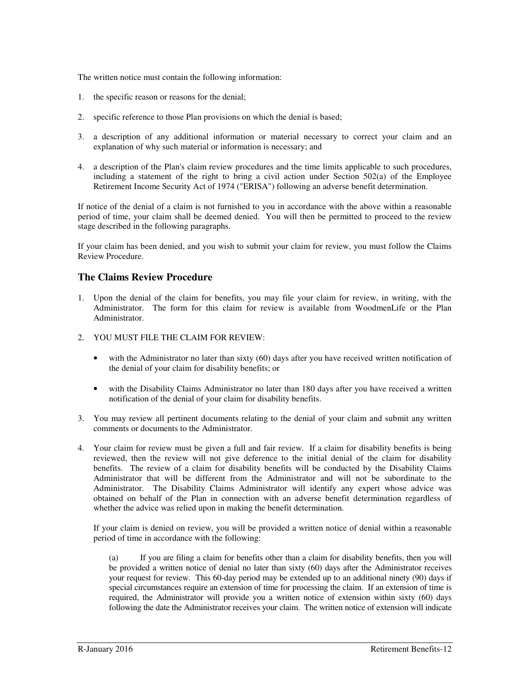The written notice must contain the following information:

- 1. the specific reason or reasons for the denial;
- 2. specific reference to those Plan provisions on which the denial is based;
- 3. a description of any additional information or material necessary to correct your claim and an explanation of why such material or information is necessary; and
- 4. a description of the Plan's claim review procedures and the time limits applicable to such procedures, including a statement of the right to bring a civil action under Section 502(a) of the Employee Retirement Income Security Act of 1974 ("ERISA") following an adverse benefit determination.

If notice of the denial of a claim is not furnished to you in accordance with the above within a reasonable period of time, your claim shall be deemed denied. You will then be permitted to proceed to the review stage described in the following paragraphs.

If your claim has been denied, and you wish to submit your claim for review, you must follow the Claims Review Procedure.

#### **The Claims Review Procedure**

- 1. Upon the denial of the claim for benefits, you may file your claim for review, in writing, with the Administrator. The form for this claim for review is available from WoodmenLife or the Plan Administrator.
- 2. YOU MUST FILE THE CLAIM FOR REVIEW:
	- with the Administrator no later than sixty (60) days after you have received written notification of the denial of your claim for disability benefits; or
	- with the Disability Claims Administrator no later than 180 days after you have received a written notification of the denial of your claim for disability benefits.
- 3. You may review all pertinent documents relating to the denial of your claim and submit any written comments or documents to the Administrator.
- 4. Your claim for review must be given a full and fair review. If a claim for disability benefits is being reviewed, then the review will not give deference to the initial denial of the claim for disability benefits. The review of a claim for disability benefits will be conducted by the Disability Claims Administrator that will be different from the Administrator and will not be subordinate to the Administrator. The Disability Claims Administrator will identify any expert whose advice was obtained on behalf of the Plan in connection with an adverse benefit determination regardless of whether the advice was relied upon in making the benefit determination.

If your claim is denied on review, you will be provided a written notice of denial within a reasonable period of time in accordance with the following:

(a) If you are filing a claim for benefits other than a claim for disability benefits, then you will be provided a written notice of denial no later than sixty (60) days after the Administrator receives your request for review. This 60-day period may be extended up to an additional ninety (90) days if special circumstances require an extension of time for processing the claim. If an extension of time is required, the Administrator will provide you a written notice of extension within sixty (60) days following the date the Administrator receives your claim. The written notice of extension will indicate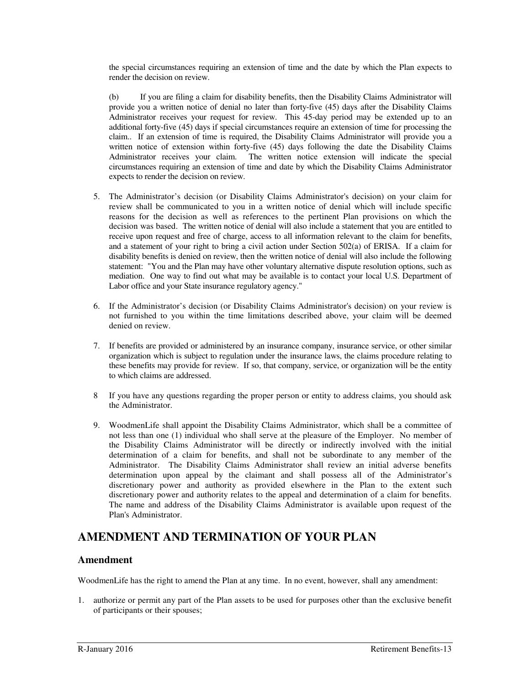the special circumstances requiring an extension of time and the date by which the Plan expects to render the decision on review.

(b) If you are filing a claim for disability benefits, then the Disability Claims Administrator will provide you a written notice of denial no later than forty-five (45) days after the Disability Claims Administrator receives your request for review. This 45-day period may be extended up to an additional forty-five (45) days if special circumstances require an extension of time for processing the claim.. If an extension of time is required, the Disability Claims Administrator will provide you a written notice of extension within forty-five (45) days following the date the Disability Claims Administrator receives your claim. The written notice extension will indicate the special circumstances requiring an extension of time and date by which the Disability Claims Administrator expects to render the decision on review.

- 5. The Administrator's decision (or Disability Claims Administrator's decision) on your claim for review shall be communicated to you in a written notice of denial which will include specific reasons for the decision as well as references to the pertinent Plan provisions on which the decision was based. The written notice of denial will also include a statement that you are entitled to receive upon request and free of charge, access to all information relevant to the claim for benefits, and a statement of your right to bring a civil action under Section 502(a) of ERISA. If a claim for disability benefits is denied on review, then the written notice of denial will also include the following statement: "You and the Plan may have other voluntary alternative dispute resolution options, such as mediation. One way to find out what may be available is to contact your local U.S. Department of Labor office and your State insurance regulatory agency."
- 6. If the Administrator's decision (or Disability Claims Administrator's decision) on your review is not furnished to you within the time limitations described above, your claim will be deemed denied on review.
- 7. If benefits are provided or administered by an insurance company, insurance service, or other similar organization which is subject to regulation under the insurance laws, the claims procedure relating to these benefits may provide for review. If so, that company, service, or organization will be the entity to which claims are addressed.
- 8 If you have any questions regarding the proper person or entity to address claims, you should ask the Administrator.
- 9. WoodmenLife shall appoint the Disability Claims Administrator, which shall be a committee of not less than one (1) individual who shall serve at the pleasure of the Employer. No member of the Disability Claims Administrator will be directly or indirectly involved with the initial determination of a claim for benefits, and shall not be subordinate to any member of the Administrator. The Disability Claims Administrator shall review an initial adverse benefits determination upon appeal by the claimant and shall possess all of the Administrator's discretionary power and authority as provided elsewhere in the Plan to the extent such discretionary power and authority relates to the appeal and determination of a claim for benefits. The name and address of the Disability Claims Administrator is available upon request of the Plan's Administrator.

# **AMENDMENT AND TERMINATION OF YOUR PLAN**

#### **Amendment**

WoodmenLife has the right to amend the Plan at any time. In no event, however, shall any amendment:

1. authorize or permit any part of the Plan assets to be used for purposes other than the exclusive benefit of participants or their spouses;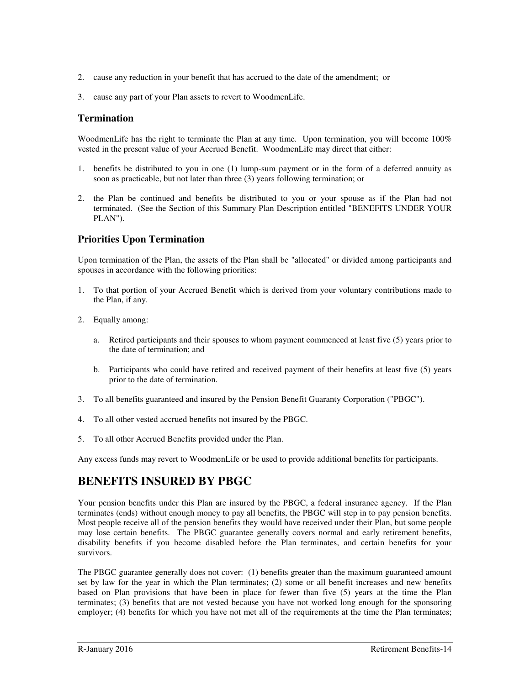- 2. cause any reduction in your benefit that has accrued to the date of the amendment; or
- 3. cause any part of your Plan assets to revert to WoodmenLife.

## **Termination**

WoodmenLife has the right to terminate the Plan at any time. Upon termination, you will become 100% vested in the present value of your Accrued Benefit. WoodmenLife may direct that either:

- 1. benefits be distributed to you in one (1) lump-sum payment or in the form of a deferred annuity as soon as practicable, but not later than three (3) years following termination; or
- 2. the Plan be continued and benefits be distributed to you or your spouse as if the Plan had not terminated. (See the Section of this Summary Plan Description entitled "BENEFITS UNDER YOUR PLAN").

## **Priorities Upon Termination**

Upon termination of the Plan, the assets of the Plan shall be "allocated" or divided among participants and spouses in accordance with the following priorities:

- 1. To that portion of your Accrued Benefit which is derived from your voluntary contributions made to the Plan, if any.
- 2. Equally among:
	- a. Retired participants and their spouses to whom payment commenced at least five (5) years prior to the date of termination; and
	- b. Participants who could have retired and received payment of their benefits at least five (5) years prior to the date of termination.
- 3. To all benefits guaranteed and insured by the Pension Benefit Guaranty Corporation ("PBGC").
- 4. To all other vested accrued benefits not insured by the PBGC.
- 5. To all other Accrued Benefits provided under the Plan.

Any excess funds may revert to WoodmenLife or be used to provide additional benefits for participants.

# **BENEFITS INSURED BY PBGC**

Your pension benefits under this Plan are insured by the PBGC, a federal insurance agency. If the Plan terminates (ends) without enough money to pay all benefits, the PBGC will step in to pay pension benefits. Most people receive all of the pension benefits they would have received under their Plan, but some people may lose certain benefits. The PBGC guarantee generally covers normal and early retirement benefits, disability benefits if you become disabled before the Plan terminates, and certain benefits for your survivors.

The PBGC guarantee generally does not cover: (1) benefits greater than the maximum guaranteed amount set by law for the year in which the Plan terminates; (2) some or all benefit increases and new benefits based on Plan provisions that have been in place for fewer than five (5) years at the time the Plan terminates; (3) benefits that are not vested because you have not worked long enough for the sponsoring employer; (4) benefits for which you have not met all of the requirements at the time the Plan terminates;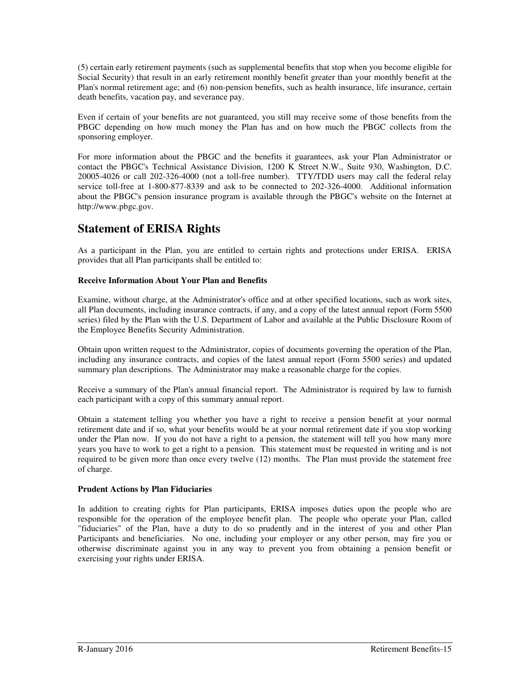(5) certain early retirement payments (such as supplemental benefits that stop when you become eligible for Social Security) that result in an early retirement monthly benefit greater than your monthly benefit at the Plan's normal retirement age; and (6) non-pension benefits, such as health insurance, life insurance, certain death benefits, vacation pay, and severance pay.

Even if certain of your benefits are not guaranteed, you still may receive some of those benefits from the PBGC depending on how much money the Plan has and on how much the PBGC collects from the sponsoring employer.

For more information about the PBGC and the benefits it guarantees, ask your Plan Administrator or contact the PBGC's Technical Assistance Division, 1200 K Street N.W., Suite 930, Washington, D.C. 20005-4026 or call 202-326-4000 (not a toll-free number). TTY/TDD users may call the federal relay service toll-free at 1-800-877-8339 and ask to be connected to 202-326-4000. Additional information about the PBGC's pension insurance program is available through the PBGC's website on the Internet at http://www.pbgc.gov.

# **Statement of ERISA Rights**

As a participant in the Plan, you are entitled to certain rights and protections under ERISA. ERISA provides that all Plan participants shall be entitled to:

#### **Receive Information About Your Plan and Benefits**

Examine, without charge, at the Administrator's office and at other specified locations, such as work sites, all Plan documents, including insurance contracts, if any, and a copy of the latest annual report (Form 5500 series) filed by the Plan with the U.S. Department of Labor and available at the Public Disclosure Room of the Employee Benefits Security Administration.

Obtain upon written request to the Administrator, copies of documents governing the operation of the Plan, including any insurance contracts, and copies of the latest annual report (Form 5500 series) and updated summary plan descriptions. The Administrator may make a reasonable charge for the copies.

Receive a summary of the Plan's annual financial report. The Administrator is required by law to furnish each participant with a copy of this summary annual report.

Obtain a statement telling you whether you have a right to receive a pension benefit at your normal retirement date and if so, what your benefits would be at your normal retirement date if you stop working under the Plan now. If you do not have a right to a pension, the statement will tell you how many more years you have to work to get a right to a pension. This statement must be requested in writing and is not required to be given more than once every twelve (12) months. The Plan must provide the statement free of charge.

#### **Prudent Actions by Plan Fiduciaries**

In addition to creating rights for Plan participants, ERISA imposes duties upon the people who are responsible for the operation of the employee benefit plan. The people who operate your Plan, called "fiduciaries" of the Plan, have a duty to do so prudently and in the interest of you and other Plan Participants and beneficiaries. No one, including your employer or any other person, may fire you or otherwise discriminate against you in any way to prevent you from obtaining a pension benefit or exercising your rights under ERISA.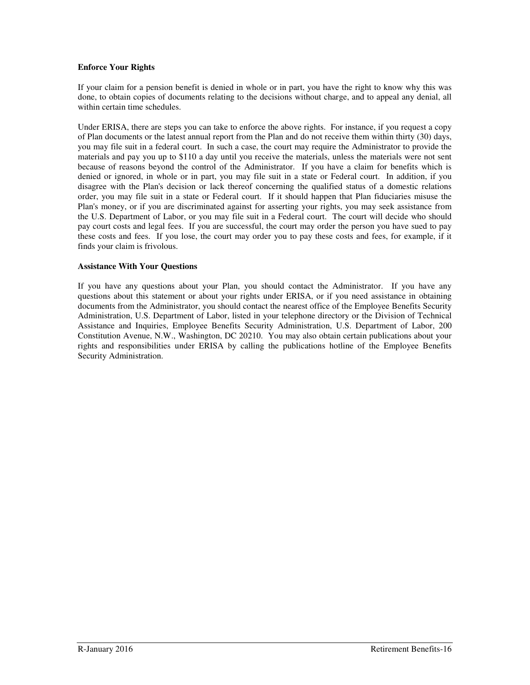#### **Enforce Your Rights**

If your claim for a pension benefit is denied in whole or in part, you have the right to know why this was done, to obtain copies of documents relating to the decisions without charge, and to appeal any denial, all within certain time schedules.

Under ERISA, there are steps you can take to enforce the above rights. For instance, if you request a copy of Plan documents or the latest annual report from the Plan and do not receive them within thirty (30) days, you may file suit in a federal court. In such a case, the court may require the Administrator to provide the materials and pay you up to \$110 a day until you receive the materials, unless the materials were not sent because of reasons beyond the control of the Administrator. If you have a claim for benefits which is denied or ignored, in whole or in part, you may file suit in a state or Federal court. In addition, if you disagree with the Plan's decision or lack thereof concerning the qualified status of a domestic relations order, you may file suit in a state or Federal court. If it should happen that Plan fiduciaries misuse the Plan's money, or if you are discriminated against for asserting your rights, you may seek assistance from the U.S. Department of Labor, or you may file suit in a Federal court. The court will decide who should pay court costs and legal fees. If you are successful, the court may order the person you have sued to pay these costs and fees. If you lose, the court may order you to pay these costs and fees, for example, if it finds your claim is frivolous.

#### **Assistance With Your Questions**

If you have any questions about your Plan, you should contact the Administrator. If you have any questions about this statement or about your rights under ERISA, or if you need assistance in obtaining documents from the Administrator, you should contact the nearest office of the Employee Benefits Security Administration, U.S. Department of Labor, listed in your telephone directory or the Division of Technical Assistance and Inquiries, Employee Benefits Security Administration, U.S. Department of Labor, 200 Constitution Avenue, N.W., Washington, DC 20210. You may also obtain certain publications about your rights and responsibilities under ERISA by calling the publications hotline of the Employee Benefits Security Administration.